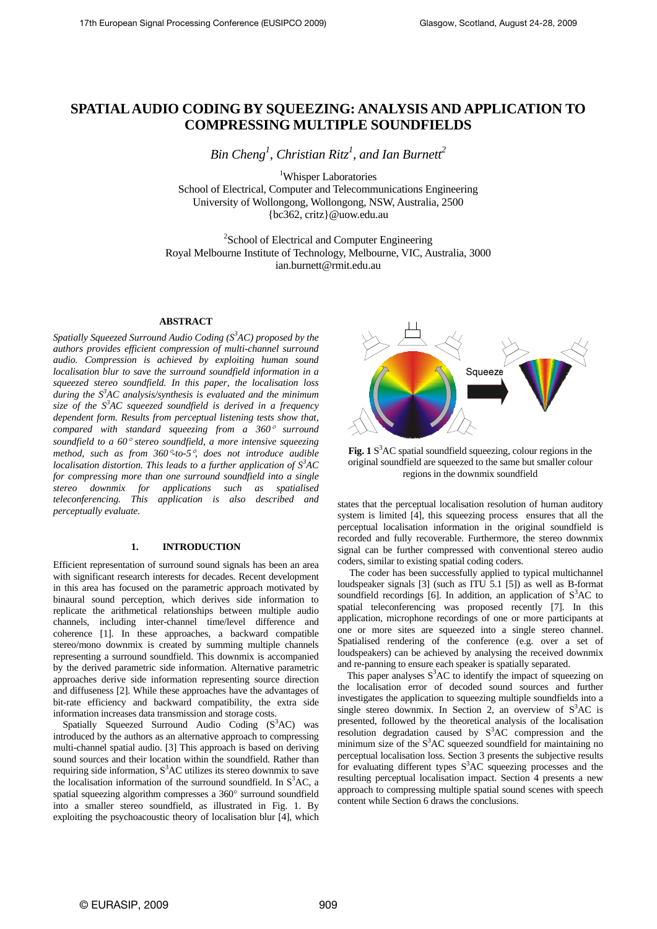# **SPATIAL AUDIO CODING BY SQUEEZING: ANALYSIS AND APPLICATION TO COMPRESSING MULTIPLE SOUNDFIELDS**

 $Bin Cheng<sup>1</sup>$ , Christian Ritz<sup>1</sup>, and Ian Burnett<sup>2</sup>

<sup>1</sup>Whisper Laboratories School of Electrical, Computer and Telecommunications Engineering University of Wollongong, Wollongong, NSW, Australia, 2500 {bc362, critz}@uow.edu.au

<sup>2</sup>School of Electrical and Computer Engineering Royal Melbourne Institute of Technology, Melbourne, VIC, Australia, 3000 ian.burnett@rmit.edu.au

# **ABSTRACT**

Spatially Squeezed Surround Audio Coding (S<sup>3</sup>AC) proposed by the *authors provides efficient compression of multi-channel surround audio. Compression is achieved by exploiting human sound localisation blur to save the surround soundfield information in a squeezed stereo soundfield. In this paper, the localisation loss during the S3 AC analysis/synthesis is evaluated and the minimum size of the S3 AC squeezed soundfield is derived in a frequency dependent form. Results from perceptual listening tests show that, compared with standard squeezing from a 360*° *surround soundfield to a 60*° *stereo soundfield, a more intensive squeezing method, such as from 360*°*-to-5*°*, does not introduce audible localisation distortion. This leads to a further application of*  $S^3AC$ *for compressing more than one surround soundfield into a single stereo downmix for applications such as spatialised teleconferencing. This application is also described and perceptually evaluate.* 

# **1. INTRODUCTION**

Efficient representation of surround sound signals has been an area with significant research interests for decades. Recent development in this area has focused on the parametric approach motivated by binaural sound perception, which derives side information to replicate the arithmetical relationships between multiple audio channels, including inter-channel time/level difference and coherence [1]. In these approaches, a backward compatible stereo/mono downmix is created by summing multiple channels representing a surround soundfield. This downmix is accompanied by the derived parametric side information. Alternative parametric approaches derive side information representing source direction and diffuseness [2]. While these approaches have the advantages of bit-rate efficiency and backward compatibility, the extra side information increases data transmission and storage costs.

Spatially Squeezed Surround Audio Coding  $(S<sup>3</sup>AC)$  was introduced by the authors as an alternative approach to compressing multi-channel spatial audio. [3] This approach is based on deriving sound sources and their location within the soundfield. Rather than requiring side information,  $S<sup>3</sup>AC$  utilizes its stereo downmix to save the localisation information of the surround soundfield. In  $S^3$ AC, a spatial squeezing algorithm compresses a 360° surround soundfield into a smaller stereo soundfield, as illustrated in Fig. 1. By exploiting the psychoacoustic theory of localisation blur [4], which



Fig. 1 S<sup>3</sup>AC spatial soundfield squeezing, colour regions in the original soundfield are squeezed to the same but smaller colour regions in the downmix soundfield

states that the perceptual localisation resolution of human auditory system is limited [4], this squeezing process ensures that all the perceptual localisation information in the original soundfield is recorded and fully recoverable. Furthermore, the stereo downmix signal can be further compressed with conventional stereo audio coders, similar to existing spatial coding coders.

 The coder has been successfully applied to typical multichannel loudspeaker signals [3] (such as ITU 5.1 [5]) as well as B-format soundfield recordings [6]. In addition, an application of  $S<sup>3</sup>AC$  to spatial teleconferencing was proposed recently [7]. In this application, microphone recordings of one or more participants at one or more sites are squeezed into a single stereo channel. Spatialised rendering of the conference (e.g. over a set of loudspeakers) can be achieved by analysing the received downmix and re-panning to ensure each speaker is spatially separated.

This paper analyses  $S<sup>3</sup>AC$  to identify the impact of squeezing on the localisation error of decoded sound sources and further investigates the application to squeezing multiple soundfields into a single stereo downmix. In Section 2, an overview of  $S<sup>3</sup>AC$  is presented, followed by the theoretical analysis of the localisation resolution degradation caused by  $S^3AC$  compression and the minimum size of the  $S<sup>3</sup>AC$  squeezed soundfield for maintaining no perceptual localisation loss. Section 3 presents the subjective results for evaluating different types  $S<sup>3</sup>AC$  squeezing processes and the resulting perceptual localisation impact. Section 4 presents a new approach to compressing multiple spatial sound scenes with speech content while Section 6 draws the conclusions.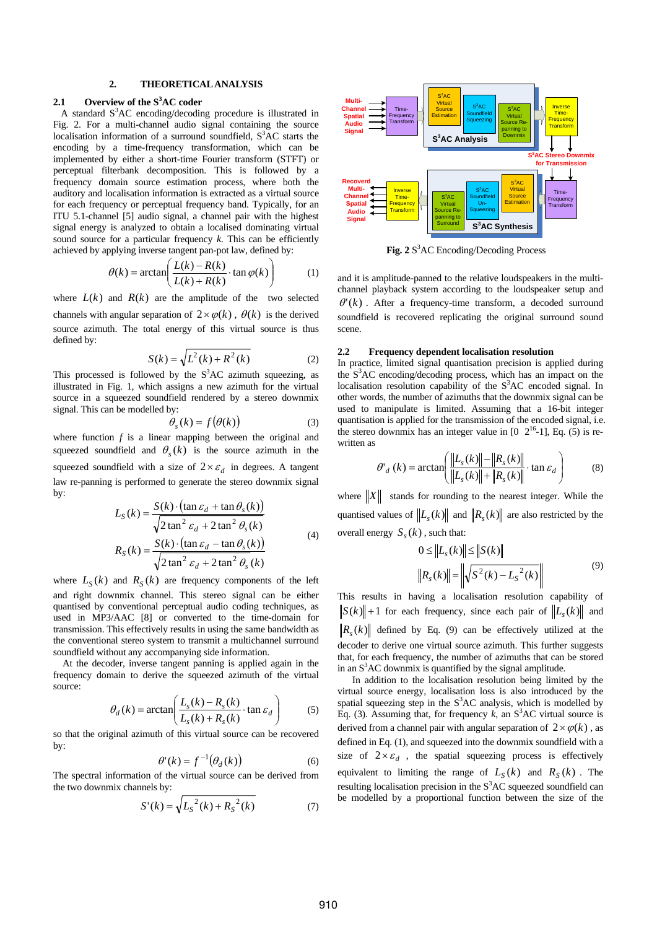# **2. THEORETICAL ANALYSIS**

# **2.1 Overview of the S3 AC coder**

A standard  $S<sup>3</sup>AC$  encoding/decoding procedure is illustrated in Fig. 2. For a multi-channel audio signal containing the source localisation information of a surround soundfield,  $S<sup>3</sup>AC$  starts the encoding by a time-frequency transformation, which can be implemented by either a short-time Fourier transform (STFT) or perceptual filterbank decomposition. This is followed by a frequency domain source estimation process, where both the auditory and localisation information is extracted as a virtual source for each frequency or perceptual frequency band. Typically, for an ITU 5.1-channel [5] audio signal, a channel pair with the highest signal energy is analyzed to obtain a localised dominating virtual sound source for a particular frequency *k*. This can be efficiently achieved by applying inverse tangent pan-pot law, defined by:

$$
\theta(k) = \arctan\left(\frac{L(k) - R(k)}{L(k) + R(k)} \cdot \tan \varphi(k)\right) \tag{1}
$$

where  $L(k)$  and  $R(k)$  are the amplitude of the two selected channels with angular separation of  $2 \times \varphi(k)$ ,  $\theta(k)$  is the derived source azimuth. The total energy of this virtual source is thus defined by:

$$
S(k) = \sqrt{L^2(k) + R^2(k)}
$$
 (2)

This processed is followed by the  $S<sup>3</sup>AC$  azimuth squeezing, as illustrated in Fig. 1, which assigns a new azimuth for the virtual source in a squeezed soundfield rendered by a stereo downmix signal. This can be modelled by:

$$
\theta_{s}(k) = f(\theta(k))\tag{3}
$$

where function  $f$  is a linear mapping between the original and squeezed soundfield and  $\theta_s(k)$  is the source azimuth in the squeezed soundfield with a size of  $2 \times \varepsilon_d$  in degrees. A tangent law re-panning is performed to generate the stereo downmix signal by:

$$
L_S(k) = \frac{S(k) \cdot (\tan \varepsilon_d + \tan \theta_s(k))}{\sqrt{2 \tan^2 \varepsilon_d + 2 \tan^2 \theta_s(k)}}
$$
  
\n
$$
R_S(k) = \frac{S(k) \cdot (\tan \varepsilon_d - \tan \theta_s(k))}{\sqrt{2 \tan^2 \varepsilon_d + 2 \tan^2 \theta_s(k)}}
$$
(4)

where  $L_S(k)$  and  $R_S(k)$  are frequency components of the left and right downmix channel. This stereo signal can be either quantised by conventional perceptual audio coding techniques, as used in MP3/AAC [8] or converted to the time-domain for transmission. This effectively results in using the same bandwidth as the conventional stereo system to transmit a multichannel surround soundfield without any accompanying side information.

 At the decoder, inverse tangent panning is applied again in the frequency domain to derive the squeezed azimuth of the virtual source:

$$
\theta_d(k) = \arctan\left(\frac{L_s(k) - R_s(k)}{L_s(k) + R_s(k)} \cdot \tan \varepsilon_d\right) \tag{5}
$$

so that the original azimuth of this virtual source can be recovered by:

$$
\theta'(k) = f^{-1}(\theta_d(k))\tag{6}
$$

The spectral information of the virtual source can be derived from the two downmix channels by:

$$
S'(k) = \sqrt{L_S^2(k) + R_S^2(k)}
$$
 (7)



Fig. 2 S<sup>3</sup>AC Encoding/Decoding Process

and it is amplitude-panned to the relative loudspeakers in the multichannel playback system according to the loudspeaker setup and  $\theta'(k)$ . After a frequency-time transform, a decoded surround soundfield is recovered replicating the original surround sound scene.

#### **2.2 Frequency dependent localisation resolution**

In practice, limited signal quantisation precision is applied during the S<sup>3</sup>AC encoding/decoding process, which has an impact on the localisation resolution capability of the  $S<sup>3</sup>AC$  encoded signal. In other words, the number of azimuths that the downmix signal can be used to manipulate is limited. Assuming that a 16-bit integer quantisation is applied for the transmission of the encoded signal, i.e. the stereo downmix has an integer value in  $[0 \t2^{16} - 1]$ , Eq. (5) is rewritten as

$$
\theta'_{d}(k) = \arctan\left(\frac{\left\|L_{s}(k)\right\| - \left\|R_{s}(k)\right\|}{\left\|L_{s}(k)\right\| + \left\|R_{s}(k)\right\|}\cdot \tan \varepsilon_{d}\right) \tag{8}
$$

where  $||X||$  stands for rounding to the nearest integer. While the quantised values of  $||L_{\varepsilon}(k)||$  and  $||R_{\varepsilon}(k)||$  are also restricted by the overall energy  $S_{s}(k)$ , such that:

$$
0 \le ||L_{s}(k)|| \le ||S(k)||
$$
  

$$
||R_{s}(k)|| = ||\sqrt{S^{2}(k) - L_{s}^{2}(k)}||
$$
 (9)

This results in having a localisation resolution capability of  $||S(k)|| + 1$  for each frequency, since each pair of  $||L_{k}(k)||$  and  $\|R_{s}(k)\|$  defined by Eq. (9) can be effectively utilized at the decoder to derive one virtual source azimuth. This further suggests that, for each frequency, the number of azimuths that can be stored in an  $S<sup>3</sup>AC$  downmix is quantified by the signal amplitude.

In addition to the localisation resolution being limited by the virtual source energy, localisation loss is also introduced by the spatial squeezing step in the  $S<sup>3</sup>AC$  analysis, which is modelled by Eq. (3). Assuming that, for frequency  $k$ , an  $S<sup>3</sup>AC$  virtual source is derived from a channel pair with angular separation of  $2 \times \varphi(k)$ , as defined in Eq. (1), and squeezed into the downmix soundfield with a size of  $2 \times \varepsilon_d$ , the spatial squeezing process is effectively equivalent to limiting the range of  $L_S(k)$  and  $R_S(k)$ . The resulting localisation precision in the  $S<sup>3</sup>AC$  squeezed soundfield can be modelled by a proportional function between the size of the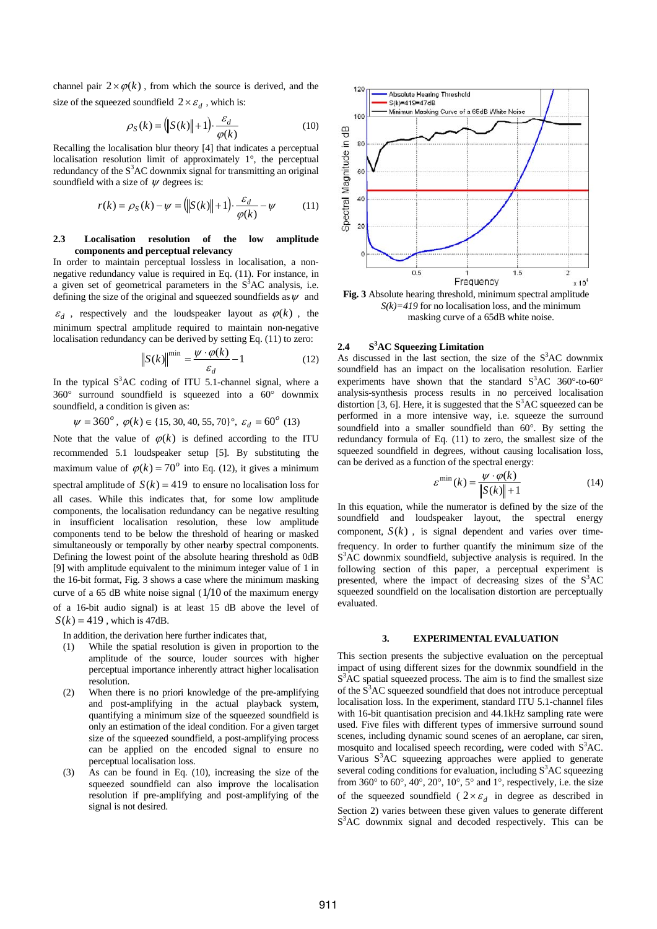channel pair  $2\times\varphi(k)$ , from which the source is derived, and the size of the squeezed soundfield  $2 \times \varepsilon_d$ , which is:

$$
\rho_S(k) = \left( \left\| S(k) \right\| + 1 \right) \cdot \frac{\varepsilon_d}{\varphi(k)} \tag{10}
$$

Recalling the localisation blur theory [4] that indicates a perceptual localisation resolution limit of approximately 1°, the perceptual redundancy of the  $S<sup>3</sup>AC$  downmix signal for transmitting an original soundfield with a size of  $\psi$  degrees is:

$$
r(k) = \rho_S(k) - \psi = \left( \left\| S(k) \right\| + 1 \right) \cdot \frac{\varepsilon_d}{\varphi(k)} - \psi \tag{11}
$$

## **2.3 Localisation resolution of the low amplitude components and perceptual relevancy**

In order to maintain perceptual lossless in localisation, a nonnegative redundancy value is required in Eq. (11). For instance, in a given set of geometrical parameters in the  $S<sup>3</sup>AC$  analysis, i.e. defining the size of the original and squeezed soundfields as  $\psi$  and

 $\varepsilon_d$ , respectively and the loudspeaker layout as  $\varphi(k)$ , the minimum spectral amplitude required to maintain non-negative localisation redundancy can be derived by setting Eq. (11) to zero:

$$
\left\| S(k) \right\|^{\min} = \frac{\psi \cdot \varphi(k)}{\varepsilon_d} - 1 \tag{12}
$$

In the typical  $S^3AC$  coding of ITU 5.1-channel signal, where a 360° surround soundfield is squeezed into a 60° downmix soundfield, a condition is given as:

 $\psi = 360^{\circ}$ ,  $\varphi(k) \in \{15, 30, 40, 55, 70\}^{\circ}$ ,  $\varepsilon_d = 60^{\circ}$  (13)

Note that the value of  $\varphi(k)$  is defined according to the ITU recommended 5.1 loudspeaker setup [5]. By substituting the maximum value of  $\varphi(k) = 70^\circ$  into Eq. (12), it gives a minimum spectral amplitude of  $S(k) = 419$  to ensure no localisation loss for all cases. While this indicates that, for some low amplitude components, the localisation redundancy can be negative resulting in insufficient localisation resolution, these low amplitude components tend to be below the threshold of hearing or masked simultaneously or temporally by other nearby spectral components. Defining the lowest point of the absolute hearing threshold as 0dB [9] with amplitude equivalent to the minimum integer value of 1 in the 16-bit format, Fig. 3 shows a case where the minimum masking curve of a 65 dB white noise signal  $(1/10)$  of the maximum energy of a 16-bit audio signal) is at least 15 dB above the level of  $S(k) = 419$ , which is 47dB.

In addition, the derivation here further indicates that,

- (1) While the spatial resolution is given in proportion to the amplitude of the source, louder sources with higher perceptual importance inherently attract higher localisation resolution.
- (2) When there is no priori knowledge of the pre-amplifying and post-amplifying in the actual playback system, quantifying a minimum size of the squeezed soundfield is only an estimation of the ideal condition. For a given target size of the squeezed soundfield, a post-amplifying process can be applied on the encoded signal to ensure no perceptual localisation loss.
- (3) As can be found in Eq. (10), increasing the size of the squeezed soundfield can also improve the localisation resolution if pre-amplifying and post-amplifying of the signal is not desired.



**Fig. 3** Absolute hearing threshold, minimum spectral amplitude  $S(k)=419$  for no localisation loss, and the minimum masking curve of a 65dB white noise.

# **2.4 S3 AC Squeezing Limitation**

As discussed in the last section, the size of the  $S<sup>3</sup>AC$  downmix soundfield has an impact on the localisation resolution. Earlier experiments have shown that the standard  $S<sup>3</sup>AC$  360°-to-60° analysis-synthesis process results in no perceived localisation distortion [3, 6]. Here, it is suggested that the  $S<sup>3</sup>AC$  squeezed can be performed in a more intensive way, i.e. squeeze the surround soundfield into a smaller soundfield than 60°. By setting the redundancy formula of Eq. (11) to zero, the smallest size of the squeezed soundfield in degrees, without causing localisation loss, can be derived as a function of the spectral energy:

$$
\varepsilon^{\min}(k) = \frac{\psi \cdot \varphi(k)}{\|S(k)\| + 1} \tag{14}
$$

In this equation, while the numerator is defined by the size of the soundfield and loudspeaker layout, the spectral energy component,  $S(k)$ , is signal dependent and varies over timefrequency. In order to further quantify the minimum size of the S<sup>3</sup>AC downmix soundfield, subjective analysis is required. In the following section of this paper, a perceptual experiment is presented, where the impact of decreasing sizes of the  $S<sup>3</sup>AC$ squeezed soundfield on the localisation distortion are perceptually evaluated.

#### **3. EXPERIMENTAL EVALUATION**

This section presents the subjective evaluation on the perceptual impact of using different sizes for the downmix soundfield in the  $S<sup>3</sup>AC$  spatial squeezed process. The aim is to find the smallest size of the  $\hat{S}^3$ AC squeezed soundfield that does not introduce perceptual localisation loss. In the experiment, standard ITU 5.1-channel files with 16-bit quantisation precision and 44.1kHz sampling rate were used. Five files with different types of immersive surround sound scenes, including dynamic sound scenes of an aeroplane, car siren, mosquito and localised speech recording, were coded with S<sup>3</sup>AC. Various S<sup>3</sup>AC squeezing approaches were applied to generate several coding conditions for evaluation, including  $S<sup>3</sup>AC$  squeezing from  $360^\circ$  to  $60^\circ$ ,  $40^\circ$ ,  $20^\circ$ ,  $10^\circ$ ,  $5^\circ$  and  $1^\circ$ , respectively, i.e. the size of the squeezed soundfield (  $2 \times \varepsilon_d$  in degree as described in Section 2) varies between these given values to generate different S<sup>3</sup>AC downmix signal and decoded respectively. This can be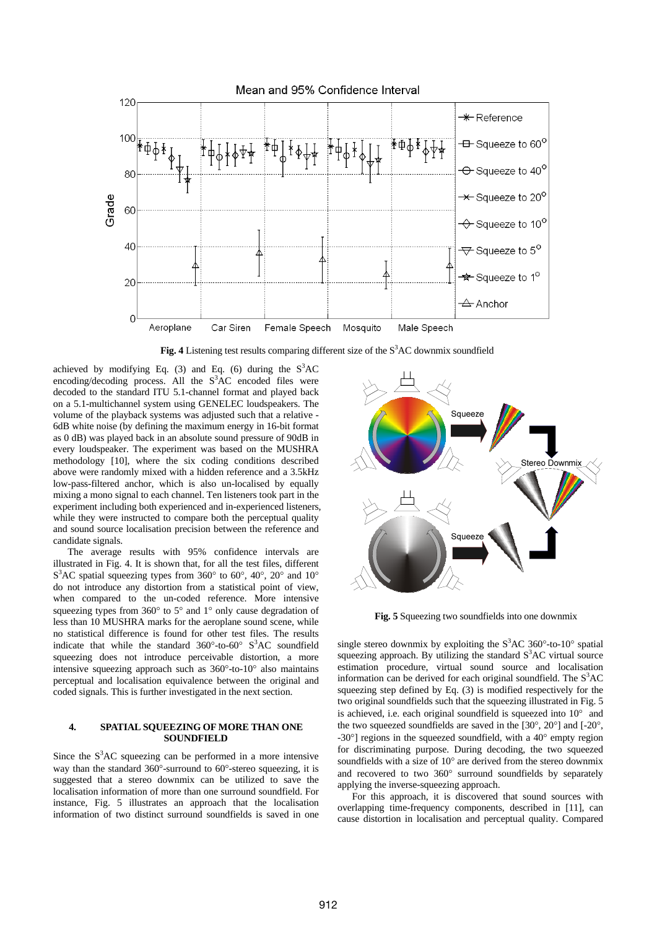

Fig. 4 Listening test results comparing different size of the S<sup>3</sup>AC downmix soundfield

achieved by modifying Eq. (3) and Eq. (6) during the  $S<sup>3</sup>AC$ encoding/decoding process. All the  $S<sup>3</sup>AC$  encoded files were decoded to the standard ITU 5.1-channel format and played back on a 5.1-multichannel system using GENELEC loudspeakers. The volume of the playback systems was adjusted such that a relative - 6dB white noise (by defining the maximum energy in 16-bit format as 0 dB) was played back in an absolute sound pressure of 90dB in every loudspeaker. The experiment was based on the MUSHRA methodology [10], where the six coding conditions described above were randomly mixed with a hidden reference and a 3.5kHz low-pass-filtered anchor, which is also un-localised by equally mixing a mono signal to each channel. Ten listeners took part in the experiment including both experienced and in-experienced listeners, while they were instructed to compare both the perceptual quality and sound source localisation precision between the reference and candidate signals.

The average results with 95% confidence intervals are illustrated in Fig. 4. It is shown that, for all the test files, different  $S<sup>3</sup>AC$  spatial squeezing types from 360° to 60°, 40°, 20° and 10° do not introduce any distortion from a statistical point of view, when compared to the un-coded reference. More intensive squeezing types from 360° to 5° and 1° only cause degradation of less than 10 MUSHRA marks for the aeroplane sound scene, while no statistical difference is found for other test files. The results indicate that while the standard  $360^{\circ}$ -to-60°  $S^{3}AC$  soundfield squeezing does not introduce perceivable distortion, a more intensive squeezing approach such as 360°-to-10° also maintains perceptual and localisation equivalence between the original and coded signals. This is further investigated in the next section.

## **4. SPATIAL SQUEEZING OF MORE THAN ONE SOUNDFIELD**

Since the  $S<sup>3</sup>AC$  squeezing can be performed in a more intensive way than the standard 360°-surround to 60°-stereo squeezing, it is suggested that a stereo downmix can be utilized to save the localisation information of more than one surround soundfield. For instance, Fig. 5 illustrates an approach that the localisation information of two distinct surround soundfields is saved in one



**Fig. 5** Squeezing two soundfields into one downmix

single stereo downmix by exploiting the  $S<sup>3</sup>AC 360°$ -to-10° spatial squeezing approach. By utilizing the standard  $S<sup>3</sup>AC$  virtual source estimation procedure, virtual sound source and localisation information can be derived for each original soundfield. The  $S<sup>3</sup>AC$ squeezing step defined by Eq. (3) is modified respectively for the two original soundfields such that the squeezing illustrated in Fig. 5 is achieved, i.e. each original soundfield is squeezed into 10° and the two squeezed soundfields are saved in the [30°, 20°] and [-20°, -30°] regions in the squeezed soundfield, with a 40° empty region for discriminating purpose. During decoding, the two squeezed soundfields with a size of 10° are derived from the stereo downmix and recovered to two 360° surround soundfields by separately applying the inverse-squeezing approach.

For this approach, it is discovered that sound sources with overlapping time-frequency components, described in [11], can cause distortion in localisation and perceptual quality. Compared